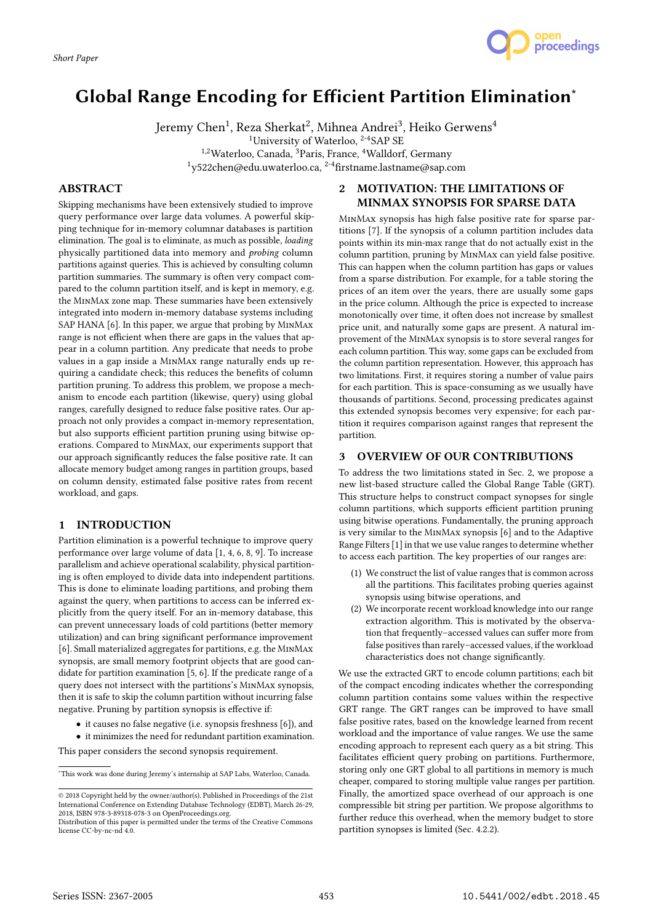

# Global Range Encoding for Efficient Partition Elimination<sup>∗</sup>

Jeremy Chen<sup>1</sup>, Reza Sherkat<sup>2</sup>, Mihnea Andrei<sup>3</sup>, Heiko Gerwens<sup>4</sup> <sup>1</sup>University of Waterloo, <sup>2-4</sup>SAP SE 1,2Waterloo, Canada, <sup>3</sup>Paris, France, <sup>4</sup>Walldorf, Germany  $1$ y522chen@edu.uwaterloo.ca,  $2-4$ firstname.lastname@sap.com

# **ABSTRACT**

Skipping mechanisms have been extensively studied to improve query performance over large data volumes. A powerful skipping technique for in-memory columnar databases is partition elimination. The goal is to eliminate, as much as possible, loading physically partitioned data into memory and probing column partitions against queries. This is achieved by consulting column partition summaries. The summary is often very compact compared to the column partition itself, and is kept in memory, e.g. the MinMax zone map. These summaries have been extensively integrated into modern in-memory database systems including SAP HANA [6]. In this paper, we argue that probing by MinMax range is not efficient when there are gaps in the values that appear in a column partition. Any predicate that needs to probe values in a gap inside a MinMax range naturally ends up requiring a candidate check; this reduces the benefits of column partition pruning. To address this problem, we propose a mechanism to encode each partition (likewise, query) using global ranges, carefully designed to reduce false positive rates. Our approach not only provides a compact in-memory representation, but also supports efficient partition pruning using bitwise operations. Compared to MinMax, our experiments support that our approach significantly reduces the false positive rate. It can allocate memory budget among ranges in partition groups, based on column density, estimated false positive rates from recent workload, and gaps.

# 1 INTRODUCTION

Partition elimination is a powerful technique to improve query performance over large volume of data [1, 4, 6, 8, 9]. To increase parallelism and achieve operational scalability, physical partitioning is often employed to divide data into independent partitions. This is done to eliminate loading partitions, and probing them against the query, when partitions to access can be inferred explicitly from the query itself. For an in-memory database, this can prevent unnecessary loads of cold partitions (better memory utilization) and can bring significant performance improvement [6]. Small materialized aggregates for partitions, e.g. the MinMax synopsis, are small memory footprint objects that are good candidate for partition examination [5, 6]. If the predicate range of a query does not intersect with the partitions's MinMax synopsis, then it is safe to skip the column partition without incurring false negative. Pruning by partition synopsis is effective if:

- it causes no false negative (i.e. synopsis freshness [6]), and
- it minimizes the need for redundant partition examination.

This paper considers the second synopsis requirement.

# 2 MOTIVATION: THE LIMITATIONS OF MINMAX SYNOPSIS FOR SPARSE DATA

MinMax synopsis has high false positive rate for sparse partitions [7]. If the synopsis of a column partition includes data points within its min-max range that do not actually exist in the column partition, pruning by MinMax can yield false positive. This can happen when the column partition has gaps or values from a sparse distribution. For example, for a table storing the prices of an item over the years, there are usually some gaps in the price column. Although the price is expected to increase monotonically over time, it often does not increase by smallest price unit, and naturally some gaps are present. A natural improvement of the MinMax synopsis is to store several ranges for each column partition. This way, some gaps can be excluded from the column partition representation. However, this approach has two limitations. First, it requires storing a number of value pairs for each partition. This is space-consuming as we usually have thousands of partitions. Second, processing predicates against this extended synopsis becomes very expensive; for each partition it requires comparison against ranges that represent the partition.

# 3 OVERVIEW OF OUR CONTRIBUTIONS

To address the two limitations stated in Sec. 2, we propose a new list-based structure called the Global Range Table (GRT). This structure helps to construct compact synopses for single column partitions, which supports efficient partition pruning using bitwise operations. Fundamentally, the pruning approach is very similar to the MinMax synopsis [6] and to the Adaptive Range Filters [1] in that we use value ranges to determine whether to access each partition. The key properties of our ranges are:

- (1) We construct the list of value ranges that is common across all the partitions. This facilitates probing queries against synopsis using bitwise operations, and
- (2) We incorporate recent workload knowledge into our range extraction algorithm. This is motivated by the observation that frequently–accessed values can suffer more from false positives than rarely–accessed values, if the workload characteristics does not change significantly.

We use the extracted GRT to encode column partitions; each bit of the compact encoding indicates whether the corresponding column partition contains some values within the respective GRT range. The GRT ranges can be improved to have small false positive rates, based on the knowledge learned from recent workload and the importance of value ranges. We use the same encoding approach to represent each query as a bit string. This facilitates efficient query probing on partitions. Furthermore, storing only one GRT global to all partitions in memory is much cheaper, compared to storing multiple value ranges per partition. Finally, the amortized space overhead of our approach is one compressible bit string per partition. We propose algorithms to further reduce this overhead, when the memory budget to store partition synopses is limited (Sec. 4.2.2).

<sup>∗</sup>This work was done during Jeremy's internship at SAP Labs, Waterloo, Canada.

<sup>©</sup> 2018 Copyright held by the owner/author(s). Published in Proceedings of the 21st International Conference on Extending Database Technology (EDBT), March 26-29, 2018, ISBN 978-3-89318-078-3 on OpenProceedings.org.

Distribution of this paper is permitted under the terms of the Creative Commons license CC-by-nc-nd 4.0.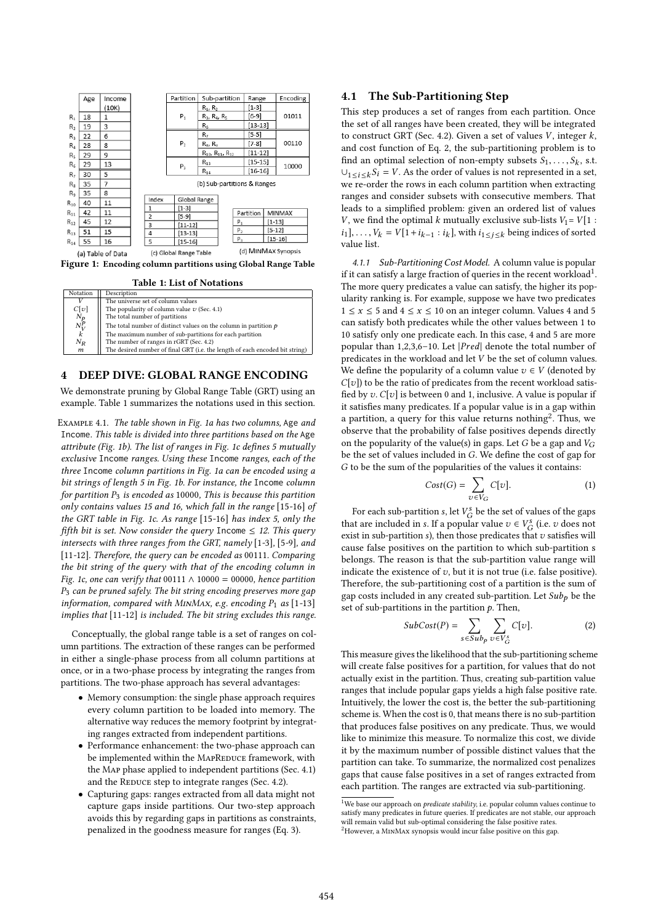|                | Age | Income            |                             |                        |             | Partition      | Sub-partition         |                                |                | Range       |             | Encoding |  |
|----------------|-----|-------------------|-----------------------------|------------------------|-------------|----------------|-----------------------|--------------------------------|----------------|-------------|-------------|----------|--|
|                |     | (10K)             |                             |                        |             |                | $R_1, R_2$            |                                |                | [1-3]       |             | 01011    |  |
| $R_1$          | 18  | 1                 |                             |                        |             | $P_1$          | $R_3$ , $R_4$ , $R_5$ |                                |                | $[6-9]$     |             |          |  |
| R <sub>2</sub> | 19  | 3                 |                             |                        |             |                | $R_6$                 |                                |                | $[13-13]$   |             |          |  |
| R <sub>3</sub> | 22  | 6                 |                             |                        |             | P <sub>2</sub> | R,                    |                                |                | $[5-5]$     |             | 00110    |  |
| $R_4$          | 28  | 8                 |                             |                        |             |                | $R_{8}$ , $R_{9}$     |                                |                | [7-8]       |             |          |  |
| R <sub>5</sub> | 29  | 9                 |                             |                        |             |                |                       | $R_{10}$ , $R_{11}$ , $R_{12}$ |                | $[11 - 12]$ |             |          |  |
| $R_{\rm f}$    | 29  | 13                |                             |                        |             | $P_3$          | $R_{13}$              |                                |                | $[15-15]$   |             | 10000    |  |
| R,             | 30  | 5                 |                             |                        |             |                | $R_{14}$              |                                |                | $[16-16]$   |             |          |  |
| R <sub>R</sub> | 35  | 7                 | (b) Sub-partitions & Ranges |                        |             |                |                       |                                |                |             |             |          |  |
| R <sub>9</sub> | 35  | 8                 |                             |                        |             |                |                       |                                |                |             |             |          |  |
| $R_{10}$       | 40  | 11                |                             | Index                  |             | Global Range   |                       |                                |                |             |             |          |  |
|                |     |                   |                             | 1                      |             | $[1-3]$        |                       |                                |                |             |             |          |  |
| $R_{11}$       | 42  | 11                |                             | $\overline{2}$         |             | [5-9]          |                       |                                | Partition      |             |             | MINMAX   |  |
| $R_{12}$       | 45  | 12                |                             | 3                      | $[11 - 12]$ |                |                       | $P_1$                          |                |             | $[1 - 13]$  |          |  |
| $R_{13}$       | 51  | 15                |                             | 4                      | $[13-13]$   |                |                       |                                | P <sub>2</sub> |             | $[5 - 12]$  |          |  |
| $R_{14}$       | 55  | 16                |                             | 5                      | $[15 - 16]$ |                |                       |                                | $P_3$          |             | $[15 - 16]$ |          |  |
|                |     | (a) Table of Data |                             | (c) Global Range Table |             |                |                       | (d) MINMAX Synopsis            |                |             |             |          |  |

Figure 1: Encoding column partitions using Global Range Table

Table 1: List of Notations

| Notation            | Description                                                                  |
|---------------------|------------------------------------------------------------------------------|
|                     | The universe set of column values                                            |
| C[v]                | The popularity of column value $v$ (Sec. 4.1)                                |
|                     | The total number of partitions                                               |
| $\frac{N_p}{N_V^p}$ | The total number of distinct values on the column in partition $p$           |
| k                   | The maximum number of sub-partitions for each partition                      |
| $N_R$               | The number of ranges in rGRT (Sec. 4.2)                                      |
| $\boldsymbol{m}$    | The desired number of final GRT (i.e. the length of each encoded bit string) |
|                     |                                                                              |

#### 4 DEEP DIVE: GLOBAL RANGE ENCODING

We demonstrate pruning by Global Range Table (GRT) using an example. Table 1 summarizes the notations used in this section.

Example 4.1. The table shown in Fig. 1a has two columns, Age and Income. This table is divided into three partitions based on the Age attribute (Fig. 1b). The list of ranges in Fig. 1c defines 5 mutually exclusive Income ranges. Using these Income ranges, each of the three Income column partitions in Fig. 1a can be encoded using a bit strings of length 5 in Fig. 1b. For instance, the Income column for partition  $P_3$  is encoded as 10000, This is because this partition only contains values 15 and 16, which fall in the range [15-16] of the GRT table in Fig. 1c. As range [15-16] has index 5, only the fifth bit is set. Now consider the query Income  $\leq$  12. This query intersects with three ranges from the GRT, namely [1-3], [5-9], and [11-12]. Therefore, the query can be encoded as 00111. Comparing the bit string of the query with that of the encoding column in Fig. 1c, one can verify that 00111  $\land$  10000 = 00000, hence partition  $P_3$  can be pruned safely. The bit string encoding preserves more gap information, compared with MINMAx, e.g. encoding  $P_1$  as [1-13] implies that [11-12] is included. The bit string excludes this range.

Conceptually, the global range table is a set of ranges on column partitions. The extraction of these ranges can be performed in either a single-phase process from all column partitions at once, or in a two-phase process by integrating the ranges from partitions. The two-phase approach has several advantages:

- Memory consumption: the single phase approach requires every column partition to be loaded into memory. The alternative way reduces the memory footprint by integrating ranges extracted from independent partitions.
- Performance enhancement: the two-phase approach can be implemented within the MAPREDUCE framework, with the Map phase applied to independent partitions (Sec. 4.1) and the REDUCE step to integrate ranges (Sec. 4.2).
- Capturing gaps: ranges extracted from all data might not capture gaps inside partitions. Our two-step approach avoids this by regarding gaps in partitions as constraints, penalized in the goodness measure for ranges (Eq. 3).

# 4.1 The Sub-Partitioning Step

This step produces a set of ranges from each partition. Once the set of all ranges have been created, they will be integrated to construct GRT (Sec. 4.2). Given a set of values  $V$ , integer  $k$ , and cost function of Eq. 2, the sub-partitioning problem is to find an optimal selection of non-empty subsets  $S_1, \ldots, S_k$ , s.t.<br>Using  $S_i = V$ . As the order of values is not represented in a set  $\bigcup_{1 \leq i \leq k} S_i = V$ . As the order of values is not represented in a set, we re-order the rows in each column partition when extracting ranges and consider subsets with consecutive members. That leads to a simplified problem: given an ordered list of values V, we find the optimal k mutually exclusive sub-lists  $V_1 = V[1$  :  $i_1$ , ...,  $V_k = V[1 + i_{k-1} : i_k]$ , with  $i_1 \le j \le k$  being indices of sorted value list value list.

4.1.1 Sub-Partitioning Cost Model. A column value is popular if it can satisfy a large fraction of queries in the recent workload<sup>1</sup>. The more query predicates a value can satisfy, the higher its popularity ranking is. For example, suppose we have two predicates  $1 \le x \le 5$  and  $4 \le x \le 10$  on an integer column. Values 4 and 5 can satisfy both predicates while the other values between 1 to 10 satisfy only one predicate each. In this case, 4 and 5 are more popular than 1,2,3,6–10. Let <sup>|</sup>Pred<sup>|</sup> denote the total number of predicates in the workload and let V be the set of column values. We define the popularity of a column value  $v \in V$  (denoted by  $C[v]$ ) to be the ratio of predicates from the recent workload satisfied by v.  $C[v]$  is between 0 and 1, inclusive. A value is popular if it satisfies many predicates. If a popular value is in a gap within a partition, a query for this value returns nothing<sup>2</sup>. Thus, we observe that the probability of false positives depends directly on the popularity of the value(s) in gaps. Let G be a gap and  $V_G$ be the set of values included in G. We define the cost of gap for G to be the sum of the popularities of the values it contains:

$$
Cost(G) = \sum_{v \in V_G} C[v]. \tag{1}
$$

For each sub-partition s, let  $V_G^s$  be the set of values of the gaps<br>of are included in a If a popular value  $z \in V_s^s$  (i.e.  $z$ ) does not that are included in s. If a popular value  $v \in V_G^s$  (i.e. v does not exist in sub-partition s) then those predicates that suspiring will exist in sub-partition s), then those predicates that  $v$  satisfies will cause false positives on the partition to which sub-partition  $s$ cause false positives on the partition to which sub-partition s belongs. The reason is that the sub-partition value range will indicate the existence of  $v$ , but it is not true (i.e. false positive). Therefore, the sub-partitioning cost of a partition is the sum of gap costs included in any created sub-partition. Let  $Sub<sub>p</sub>$  be the set of sub-partitions in the partition  $p$ . Then,

$$
SubCost(P) = \sum_{s \in Sub_{p}} \sum_{v \in V_{G}^{s}} C[v].
$$
 (2)

This measure gives the likelihood that the sub-partitioning scheme will create false positives for a partition, for values that do not actually exist in the partition. Thus, creating sub-partition value ranges that include popular gaps yields a high false positive rate. Intuitively, the lower the cost is, the better the sub-partitioning scheme is. When the cost is 0, that means there is no sub-partition that produces false positives on any predicate. Thus, we would like to minimize this measure. To normalize this cost, we divide it by the maximum number of possible distinct values that the partition can take. To summarize, the normalized cost penalizes gaps that cause false positives in a set of ranges extracted from each partition. The ranges are extracted via sub-partitioning.

<sup>&</sup>lt;sup>1</sup>We base our approach on *predicate stability*, i.e. popular column values continue to satisfy many predicates in future queries. If predicates are not stable, our approach will remain valid but sub-optimal considering the false positive rates.  $^{2}$ However, a MINMAX synopsis would incur false positive on this gap.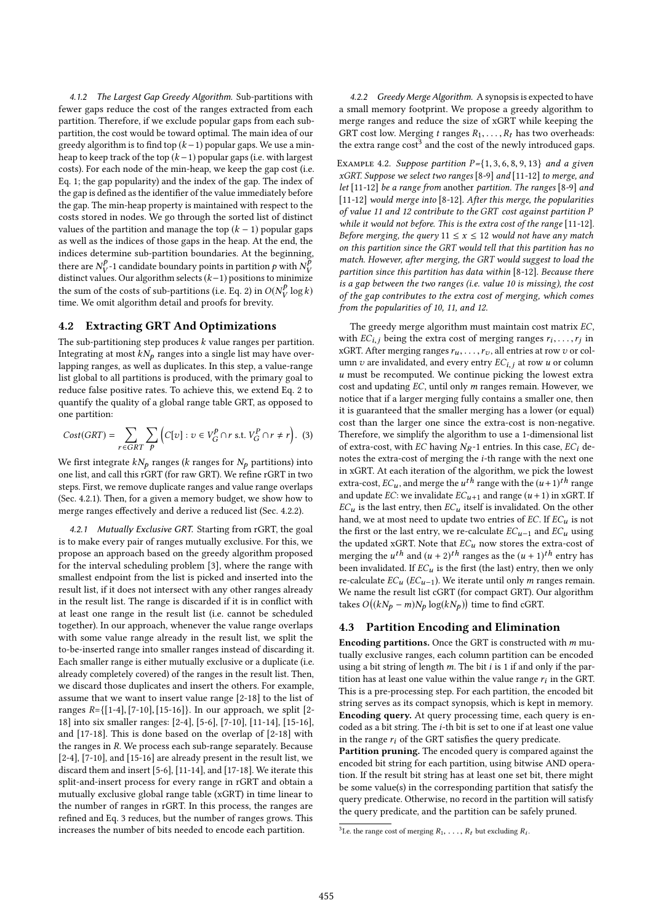4.1.2 The Largest Gap Greedy Algorithm. Sub-partitions with fewer gaps reduce the cost of the ranges extracted from each partition. Therefore, if we exclude popular gaps from each subpartition, the cost would be toward optimal. The main idea of our greedy algorithm is to find top  $(k-1)$  popular gaps. We use a minheap to keep track of the top  $(k-1)$  popular gaps (i.e. with largest costs). For each node of the min-heap, we keep the gap cost (i.e. Eq. 1; the gap popularity) and the index of the gap. The index of the gap is defined as the identifier of the value immediately before the gap. The min-heap property is maintained with respect to the costs stored in nodes. We go through the sorted list of distinct values of the partition and manage the top  $(k - 1)$  popular gaps as well as the indices of those gaps in the heap. At the end, the indices determine sub-partition boundaries. At the beginning, there are  $N_V^P$ -1 candidate boundary points in partition p with  $N_V^P$ <br>distinct values. Our algorithm selects  $(k-1)$  positions to minimize distinct values. Our algorithm selects (k−1) positions to minimize<br>the sum of the sects of sub portitions (i.e. Eq. 2) in  $O(N^p \log k)$ the sum of the costs of sub-partitions (i.e. Eq. 2) in  $O(N_V^p \log k)$ <br>time. We omit algorithm detail and proofs for brayity time. We omit algorithm detail and proofs for brevity.

## 4.2 Extracting GRT And Optimizations

The sub-partitioning step produces  $k$  value ranges per partition. Integrating at most  $kN_p$  ranges into a single list may have overlapping ranges, as well as duplicates. In this step, a value-range list global to all partitions is produced, with the primary goal to reduce false positive rates. To achieve this, we extend Eq. 2 to quantify the quality of a global range table GRT, as opposed to one partition:

$$
Cost(GRT) = \sum_{r \in GRT} \sum_{p} \left( C[v] : v \in V_G^p \cap r \text{ s.t. } V_G^P \cap r \neq r \right). \tag{3}
$$

We first integrate  $kN_p$  ranges (k ranges for  $N_p$  partitions) into one list, and call this rGRT (for raw GRT). We refine rGRT in two steps. First, we remove duplicate ranges and value range overlaps (Sec. 4.2.1). Then, for a given a memory budget, we show how to merge ranges effectively and derive a reduced list (Sec. 4.2.2).

4.2.1 Mutually Exclusive GRT. Starting from rGRT, the goal is to make every pair of ranges mutually exclusive. For this, we propose an approach based on the greedy algorithm proposed for the interval scheduling problem [3], where the range with smallest endpoint from the list is picked and inserted into the result list, if it does not intersect with any other ranges already in the result list. The range is discarded if it is in conflict with at least one range in the result list (i.e. cannot be scheduled together). In our approach, whenever the value range overlaps with some value range already in the result list, we split the to-be-inserted range into smaller ranges instead of discarding it. Each smaller range is either mutually exclusive or a duplicate (i.e. already completely covered) of the ranges in the result list. Then, we discard those duplicates and insert the others. For example, assume that we want to insert value range [2-18] to the list of ranges  $R = \{ [1-4], [7-10], [15-16] \}$ . In our approach, we split  $[2-$ 18] into six smaller ranges: [2-4], [5-6], [7-10], [11-14], [15-16], and [17-18]. This is done based on the overlap of [2-18] with the ranges in R. We process each sub-range separately. Because [2-4], [7-10], and [15-16] are already present in the result list, we discard them and insert [5-6], [11-14], and [17-18]. We iterate this split-and-insert process for every range in rGRT and obtain a mutually exclusive global range table (xGRT) in time linear to the number of ranges in rGRT. In this process, the ranges are refined and Eq. 3 reduces, but the number of ranges grows. This increases the number of bits needed to encode each partition.

4.2.2 Greedy Merge Algorithm. A synopsis is expected to have a small memory footprint. We propose a greedy algorithm to merge ranges and reduce the size of xGRT while keeping the GRT cost low. Merging t ranges  $R_1, \ldots, R_t$  has two overheads: the extra range cost<sup>3</sup> and the cost of the newly introduced gaps.

EXAMPLE 4.2. Suppose partition  $P = \{1, 3, 6, 8, 9, 13\}$  and a given  $xGRT$ . Suppose we select two ranges [8-9] and [11-12] to merge, and let [11-12] be a range from another partition. The ranges [8-9] and [11-12] would merge into [8-12]. After this merge, the popularities of value 11 and 12 contribute to the GRT cost against partition P while it would not before. This is the extra cost of the range [11-12]. Before merging, the query  $11 \le x \le 12$  would not have any match on this partition since the GRT would tell that this partition has no match. However, after merging, the GRT would suggest to load the partition since this partition has data within [8-12]. Because there is a gap between the two ranges (i.e. value 10 is missing), the cost of the gap contributes to the extra cost of merging, which comes from the popularities of 10, 11, and 12.

The greedy merge algorithm must maintain cost matrix EC, with  $EC_{i,j}$  being the extra cost of merging ranges  $r_i, \ldots, r_j$  in<br>vCPT After merging ranges  $r_i$  all entries at row z or colxGRT. After merging ranges  $r_u, \ldots, r_v$ , all entries at row v or col-<br>umn z, are invalidated, and every entry  $FC_{\cdot}$ , at row v or column umn  $v$  are invalidated, and every entry  $EC_{i,j}$  at row  $u$  or column  $u$  must be recomputed. We continue picking the lowest extra cost and updating EC, until only m ranges remain. However, we notice that if a larger merging fully contains a smaller one, then it is guaranteed that the smaller merging has a lower (or equal) cost than the larger one since the extra-cost is non-negative. Therefore, we simplify the algorithm to use a 1-dimensional list of extra-cost, with EC having  $N_R$ -1 entries. In this case, EC<sub>i</sub> denotes the extra-cost of merging the i-th range with the next one in xGRT. At each iteration of the algorithm, we pick the lowest extra-cost,  $EC_u$ , and merge the  $u^{th}$  range with the  $(u+1)^{th}$  range<br>and undate  $EC$ , we involidate  $EC_{u}$ , and range  $(u+1)$  in  $v$ CPT If and update EC: we invalidate  $EC_{u+1}$  and range  $(u + 1)$  in xGRT. If  $EC_u$  is the last entry, then  $EC_u$  itself is invalidated. On the other hand, we at most need to update two entries of  $EC$ . If  $EC_u$  is not the first or the last entry, we re-calculate  $EC_{u-1}$  and  $EC_u$  using the updated xGRT. Note that  $EC_u$  now stores the extra-cost of merging the  $u^{th}$  and  $(u + 2)^{th}$  ranges as the  $(u + 1)^{th}$  entry has<br>been involidated If EC, is the first (the last) entry then we only been invalidated. If  $EC_u$  is the first (the last) entry, then we only re-calculate  $EC_u$  ( $EC_{u-1}$ ). We iterate until only m ranges remain. We name the result list cGRT (for compact GRT). Our algorithm takes  $O((kN_p - m)N_p \log(kN_p))$  time to find cGRT.

#### 4.3 Partition Encoding and Elimination

**Encoding partitions.** Once the GRT is constructed with  $m$  mutually exclusive ranges, each column partition can be encoded using a bit string of length  $m$ . The bit i is 1 if and only if the partition has at least one value within the value range  $r_i$  in the GRT.<br>This is a pre-processing step, For each partition, the encoded bit This is a pre-processing step. For each partition, the encoded bit string serves as its compact synopsis, which is kept in memory. Encoding query. At query processing time, each query is encoded as a bit string. The i-th bit is set to one if at least one value in the range  $r_i$  of the GRT satisfies the query predicate.

Partition pruning. The encoded query is compared against the encoded bit string for each partition, using bitwise AND operation. If the result bit string has at least one set bit, there might be some value(s) in the corresponding partition that satisfy the query predicate. Otherwise, no record in the partition will satisfy the query predicate, and the partition can be safely pruned.

<sup>&</sup>lt;sup>3</sup> Le. the range cost of merging  $R_1, \ldots, R_t$  but excluding  $R_i$ .